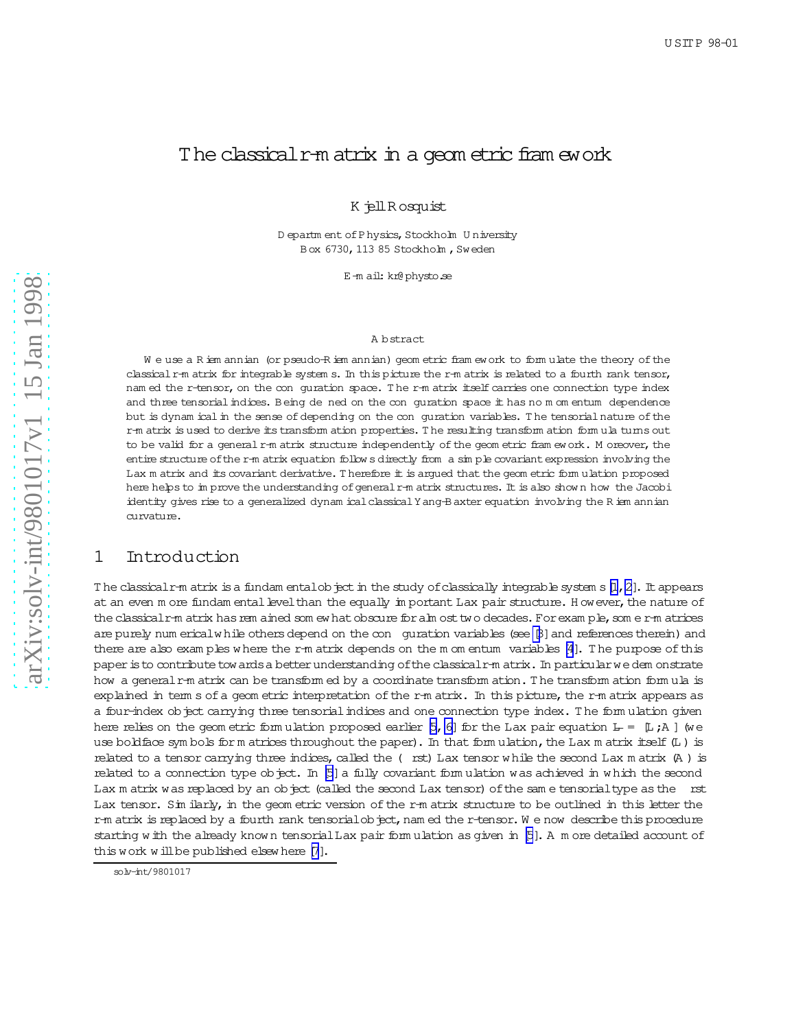# The classical r-m atrix in a geom etric fram ework

K jellR osquist

D epartm ent of Physics, Stockholm University Box 6730, 113 85 Stockholm, Sweden

E-m ail:kr@physto.se

#### A bstract

We use a R iem annian (or pseudo-R iem annian) geom etric fram ework to form ulate the theory of the classical r-m atrix for integrable system s. In this picture the r-m atrix is related to a fourth rank tensor, nam ed the r-tensor, on the conguration space. T he r-m atrix itself carries one connection type index and three tensorial indices. Being de ned on the con quration space it has no m om entum dependence but is dynam ical in the sense of depending on the con guration variables. The tensorial nature of the r-m atrix is used to derive its transform ation properties. T he resulting transform ation form ula turns out to be valid for a general r-m atrix structure independently of the geom etric fram ework. M oreover, the entire structure ofthe r-m atrix equation follow s directly from a sim ple covariantexpression involving the Lax m atrix and its covariant derivative. T herefore it is argued that the geom etric form ulation proposed here helps to im prove the understanding of general r-m atrix structures. It is also show n how the Jacobi identity gives rise to a generalized dynam icalclassicalYang-B axter equation involving the R iem annian curvature.

## 1 Introduction

The classical r-m atrix is a fundam entalobject in the study of classically integrable system s[l,2]. It appears at an even m ore fundam ental level than the equally im portant Lax pair structure. H owever, the nature of the classicalr-m atrix has rem ained som ew hat obscure for alm ost two decades. For exam ple, som e r-m atrices are purely num ericalw hile others depend on the con guration variables (see [\[3](#page-5-0)] and references therein) and there are also exam ples where the r-m atrix depends on the m om entum variables [\[4](#page-5-0)]. The purpose of this paper is to contribute tow ards a better understanding of the classical r-m atrix . In particular we dem onstrate how a general r-m atrix can be transform ed by a coordinate transform ation.T he transform ation form ula is explained in term s of a geom etric interpretation of the r-m atrix. In this picture, the r-m atrix appears as a four-index object carrying three tensorial indices and one connection type index. The form ulation given here relies on the geom etric form ulation proposed earlier [5, 6] for the Lax pair equation  $L = [L; \lambda]$  (we use boldface sym bols for m atrices throughout the paper). In that form ulation, the Lax m atrix itself (L) is related to a tensor carrying three indices, called the ( rst) Lax tensor while the second Lax m atrix (A ) is related to a connection type object. In [\[5](#page-5-0)] a fully covariant form ulation was achieved in which the second Lax m atrix was replaced by an object (called the second Lax tensor) of the same tensorial type as the rst Lax tensor. Sim ilarly, in the geom etric version of the r-m atrix structure to be outlined in this letter the r-m atrix is replaced by a fourth rank tensorial object, nam ed the r-tensor. We now describe this procedure starting w ith the already know n tensorialLax pair form ulation as given in [\[5](#page-5-0)]. A m ore detailed account of this work will be published elsew here [\[7](#page-5-0)].

solv-int/9801017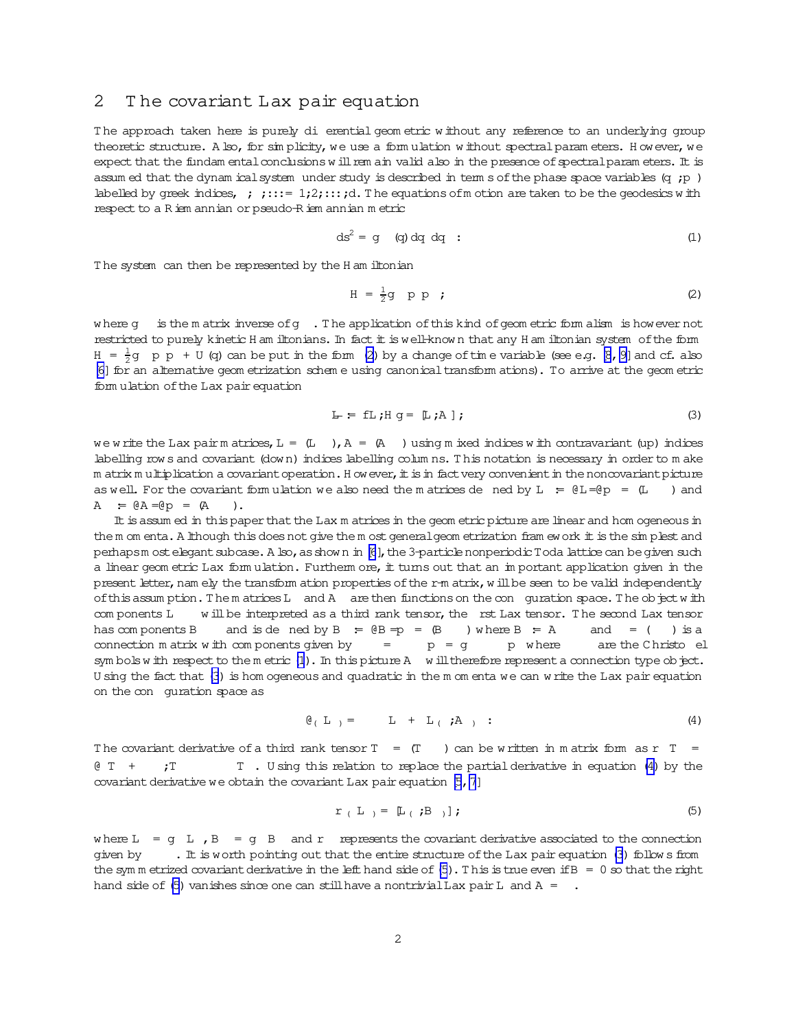### 2 T he covariant Lax pair equation

T he approach taken here is purely di erential geom etric w ithout any reference to an underlying group theoretic structure. A lso, for sim plicity, we use a form ulation w ithout spectral param eters. H owever, we expect that the fundam ental conclusions w ill rem ain valid also in the presence of spectral param eters. It is assum ed that the dynam ical system under study is described in term s of the phase space variables (q  $;p$  ) labelled by greek indices, ; ;:::=  $1;2;$ :::;d. The equations of motion are taken to be the geodesics with respect to a R iem annian or pseudo-R iem annian m etric

$$
ds^2 = g \quad (q) dq dq : \tag{1}
$$

T he system can then be represented by the H am iltonian

$$
H = \frac{1}{2}g \quad p \quad p \qquad ; \qquad (2)
$$

where g is the matrix inverse of g . The application of this kind of geometric form alism is however not restricted to purely kinetic H am iltonians. In fact it is well-known that any H am iltonian system of the form  $H = \frac{1}{2}g$  p p + U (q) can be put in the form (2) by a change of time variable (see e.g. [\[8](#page-5-0),[9\]](#page-5-0) and cf. also [\[6\]](#page-5-0) for an alternative geom etrization schem e using canonical transform ations). To arrive at the geom etric form ulation ofthe Lax pair equation

$$
L = fL; H g = [L; A]; \qquad (3)
$$

we w rite the Lax pair m atrices, L =  $(L)$ , A =  $(R)$  ) using m ixed indices w ith contravariant (up) indices labelling row s and covariant (down) indices labelling columns. This notation is necessary in order to m ake m atrix m ultiplication a covariant operation. H ow ever, it is in fact very convenient in the noncovariant picture as well. For the covariant form ulation we also need the m atrices de ned by  $L = \theta L = \theta p = (L)$  and  $A = \emptyset A = \emptyset p = (A)$ .

It is assum ed in this paper that the Lax m atrices in the geom etric picture are linear and hom ogeneous in the m om enta. A lthough this does not give the m ost general geom etrization fram ework it is the sim plest and perhapsm ost elegant subcase. A lso, as show n in [\[6](#page-5-0)], the 3-particle nonperiodic Toda lattice can be given such a linear geom etric Lax form ulation. Furtherm ore,  $#$  turns out that an im portant application given in the present letter, nam ely the transform ation properties of the r-m atrix, w ill be seen to be valid independently of this assum ption. The m atrices L and A are then functions on the con guration space. The object with com ponents L will be interpreted as a third rank tensor, the rst Lax tensor. The second Lax tensor has com ponents B and is de ned by  $B = \emptyset B = p = \emptyset$  ) where  $B = A$  and  $=$  ( ) is a connection m atrix w ith com ponents given by  $=$   $p = g$  p w here  are the C hristo el sym bols w ith respect to the m etric  $(1)$ . In this picture A w ill therefore represent a connection type object. U sing the fact that (3) is hom ogeneous and quadratic in the m om enta we can w rite the Lax pair equation on the con guration space as

$$
\mathfrak{G}_{(\mathbb{L})} = \mathbb{L} + \mathbb{L}_{(\mathbb{L})} \mathfrak{z} \mathfrak{z} \qquad (4)
$$

The covariant derivative of a third rank tensor  $T = (T)$  can be written in matrix form as r T = @ T + ;T T . U sing this relation to replace the partialderivative in equation (4) by the covariant derivative we obtain the covariant Lax pair equation  $[5, 7]$ 

$$
r (L) = [L (B)];
$$
 (5)

where  $L = g L$ ,  $B = g B$  and r represents the covariant derivative associated to the connection given by  $\cdot$  . It is worth pointing out that the entire structure of the Lax pair equation (3) follow s from the sym m etrized covariant derivative in the left hand side of  $(5)$ . This is true even if B = 0 so that the right hand side of (5) vanishes since one can still have a nontrivial Lax pair L and A =  $\cdot$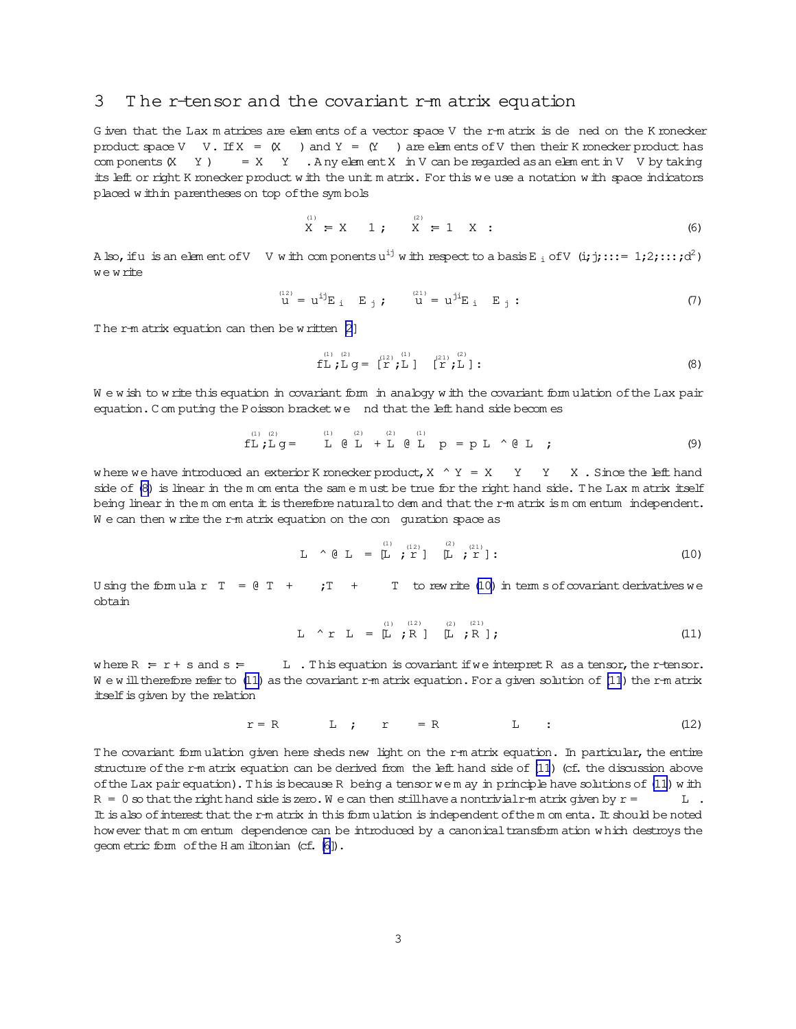### <span id="page-2-0"></span>3 T he r-tensor and the covariant r-m atrix equation

G iven that the Lax m atrices are elem ents of a vector space V the r-m atrix is de ned on the K ronecker product space V V. If  $X = (X)$  and  $Y = (Y)$  are elem ents of V then their K ronecker product has com ponents(X Y )  $= X \quad Y \quad A$  ny elem ent X in V can be regarded as an elem entin V V by taking its left or right K ronecker product w ith the unit m atrix. For this we use a notation w ith space indicators placed w ithin parentheses on top of the symbols

$$
X = X \t 1; \t X = 1 \t X : \t (6)
$$

A lso,ifu is an elem entofV  $\,$  V with com ponents  $u^{ij}$  with respect to a basis E  $_i$  ofV (i; j;:::= 1;2;:::;d<sup>2</sup>) we w rite

$$
u^{(12)} = u^{ij} E_i E_j ; \t u^{(21)} = u^{ji} E_i E_j : \t (7)
$$

The r-m atrix equation can then be w ritten [\[2\]](#page-5-0)

$$
\text{fL } \text{fL } g = \begin{bmatrix} 12 & 12 \\ 12 & 12 \end{bmatrix} \quad \text{fL } \text{g} \tag{8}
$$

W e w ish to w rite this equation in covariant form in analogy w ith the covariant form ulation of the Lax pair equation. C om puting the Poisson bracket we nd that the left hand side becom es

$$
\text{fL } \text{fL } g = \text{L } \text{g L } + \text{L } g \text{ L } \text{p} = p \text{ L } \text{g L } \text{ ;}
$$
 (9)

where we have introduced an exterior K ronecker product,  $X \wedge Y = X \vee Y \vee X$ . Since the left hand side of (8) is linear in the m om enta the sam e m ust be true for the right hand side. The Lax m atrix itself being linear in the m om enta  $\pm$  is therefore natural to dem and that the r-m atrix ism om entum independent. We can then w rite the r-m atrix equation on the con guration space as

$$
L \sim \mathfrak{g} L = [L ; L^{(1)}] \quad [L ; L^{(2)}] ; \qquad (10)
$$

U sing the form ular  $T = 0$  T + ; T + T to rew rite (10) in term s of covariant derivatives we obtain

$$
L \t \uparrow r \t L = [L ; R] \t (L ; R]; \t (11)
$$

where  $R = r + s$  and  $s = L$ . This equation is covariant if we interpret R as a tensor, the r-tensor. W e w ill therefore refer to (11) as the covariant r-m atrix equation. For a given solution of (11) the r-m atrix itself is given by the relation

$$
r = R \qquad \qquad L \qquad ; \qquad r = R \qquad \qquad L \qquad ; \qquad (12)
$$

The covariant form ulation given here sheds new light on the r-m atrix equation. In particular, the entire structure of the r-m atrix equation can be derived from the left hand side of (11) (cf. the discussion above of the Lax pair equation). This is because R being a tensor we m ay in principle have solutions of (11) with  $R = 0$  so that the right hand side is zero. We can then still have a nontrivial r-m atrix given by  $r =$  L . It is also of interest that the r-m atrix in this form ulation is independent of the m om enta. It should be noted however that m om entum dependence can be introduced by a canonicaltransform ation w hich destroys the geom etric form ofthe H am iltonian (cf. [\[6\]](#page-5-0)).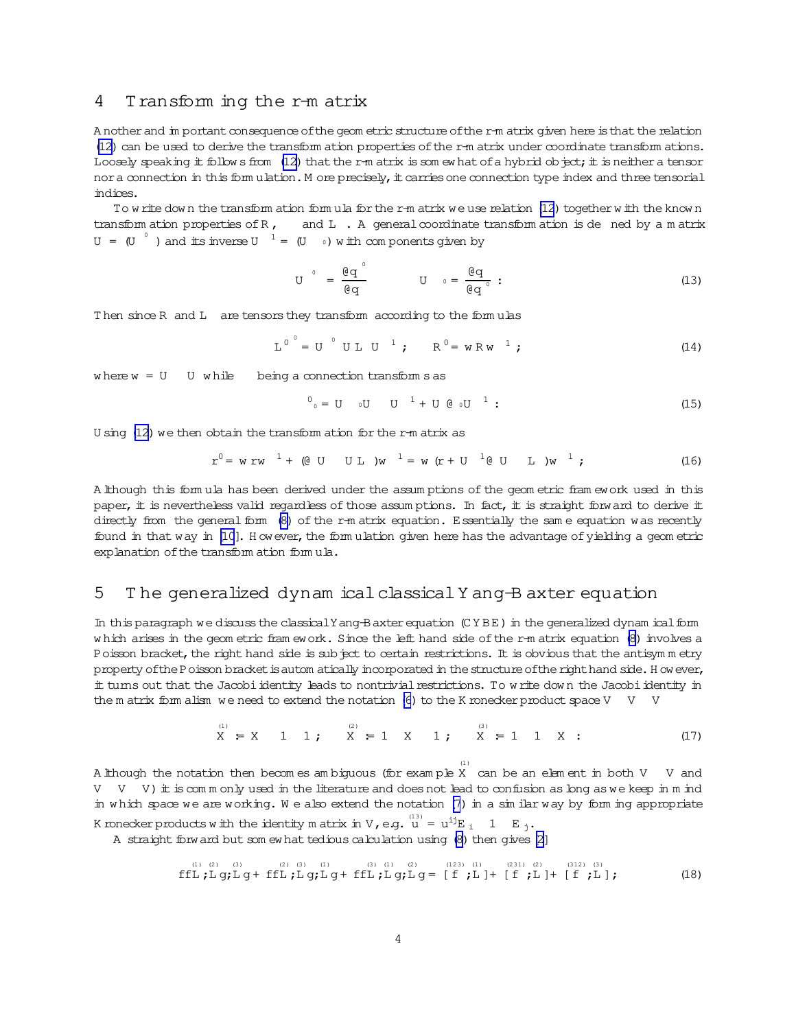#### <span id="page-3-0"></span>4 Transform ing the r-m atrix

A nother and in portant consequence of the geom etric structure of the r-m atrix given here is that the relation (12) can be used to derive the transform ation properties of the r-m atrix under coordinate transform ations. Loosely speaking it follows from  $(12)$  that the r-m atrix is somewhat of a hybrid object; it is neither a tensor nor a connection in this form ulation. M ore precisely, it carries one connection type index and three tensorial indices.

To write down the transform ation form ula for the r-m atrix we use relation (12) together with the known transform ation properties of  $R$ , and L. A general coordinate transform ation is de ned by a matrix  $U = (U^{\circ})$  and its inverse  $U^{\circ} = (U^{\circ})$  with components given by

$$
U^{\circ} = \frac{\theta q^{\circ}}{\theta q} \qquad U^{\circ} = \frac{\theta q}{\theta q^{\circ}} \qquad (13)
$$

Then since R and L are tensors they transform according to the formulas

$$
L^0 = U^0 U L U^1
$$
;  $R^0 = w R w^1$ ; (14)

where  $w = U$  U while being a connection transform s as

$$
{}^{0}{}_{0} = U \t U \t U \t 1 + U @t U \t 1 :
$$
 (15)

U sing  $(12)$  we then obtain the transform ation for the r-m atrix as

$$
r^{0} = w r w^{1} + (0 U U L) w^{1} = w (r + U^{1} 0 U L) w^{1}; \qquad (16)
$$

A lthough this formula has been derived under the assumptions of the geometric framework used in this paper, it is nevertheless valid regardless of those assumptions. In fact, it is straight forward to derive it directly from the general form (8) of the r-m atrix equation. Essentially the same equation was recently found in that way in [10]. However, the form ulation given here has the advantage of yielding a geom etric explanation of the transform ation formula.

#### 5 The generalized dynam ical classical Y ang B axter equation

In this paragraph we discuss the classical Y ang-B axter equation (CYBE) in the generalized dynam ical form which arises in the geom etric fram ework. Since the left hand side of the r-m atrix equation (8) involves a Poisson bracket, the right hand side is subject to certain restrictions. It is obvious that the antisymmetry property of the Poisson bracket is autom atically incorporated in the structure of the right hand side. However, it turns out that the Jacobi identity leads to nontrivial restrictions. To write down the Jacobi identity in the m atrix form alism we need to extend the notation (6) to the K ronecker product space V V V

$$
X = X
$$
 1 1;  $X = 1$  1;  $X = 1$  2;  $X = 1$  3;  $X = 1$  1 2;  $X = 1$  1

A lihough the notation then becomes ambiguous (for example X can be an element in both V V and  $V$  V  $V$ ) it is commonly used in the literature and does not lead to confusion as long as we keep in m ind in which space we are working. We also extend the notation (7) in a similar way by form ing appropriate K ronecker products with the identity matrix in V, e.g.  $u^{(13)} = u^{ij}E_i$ , 1 E<sub>j</sub>.

A straight forw and but som ew hat tedious calculation using (8) then gives [2]

$$
\text{fftj}_{\text{L}}(2) \quad \text{(3)} \quad \text{(4)} \quad \text{(5)} \quad \text{(6)} \quad \text{(7)} \quad \text{(8)} \quad \text{(9)} \quad \text{(10)} \quad \text{(11)} \quad \text{(21)} \quad \text{(22)} \quad \text{(231)} \quad \text{(21)} \quad \text{(221)} \quad \text{(312)} \quad \text{(31)} \quad \text{(321)} \quad \text{(312)} \quad \text{(313)} \quad \text{(321)} \quad \text{(331)} \quad \text{(341)} \quad \text{(351)} \quad \text{(431)} \quad \text{(451)} \quad \text{(461)} \quad \text{(471)} \quad \text{(481)} \quad \text{(491)} \quad \text{(412)} \quad \text{(413)} \quad \text{(42)} \quad \text{(431)} \quad \text{(441)} \quad \text{(451)} \quad \text{(461)} \quad \text{(471)} \quad \text{(481)} \quad \text{(491)} \quad \text{(491)} \quad \text{(412)} \quad \text{(413)} \quad \text{(413)} \quad \text{(413)} \quad \text{(413)} \quad \text{(413)} \quad \text{(413)} \quad \text{(413)} \quad \text{(413)} \quad \text{(413)} \quad \text{(413)} \quad \text{(413)} \quad \text{(413)} \quad \text{(413)} \quad \text{(413)} \quad \text{(413)} \quad \text{(413)} \quad \text{(413)} \quad \text{(413)} \quad \text{(413)} \quad \text{(413)} \quad \text{(413)} \quad \text{(413)} \quad \text{(413)} \quad \text{(413)} \quad \text{(413)} \quad \text{(413)} \quad \text{(413)} \quad \text{(413)} \quad \text{(413)} \quad \text{(413)} \quad \text{(413)} \quad \text{(413)} \quad \text{(413)} \quad \text{(413)} \quad \text{(413)} \quad \text{(413)} \quad \text{(413)} \quad \text{(413)} \quad \text{(413)} \quad \text{(413)} \quad \text{(413)} \quad \text{(413)} \quad \text{(413)} \quad \text{(413)} \quad
$$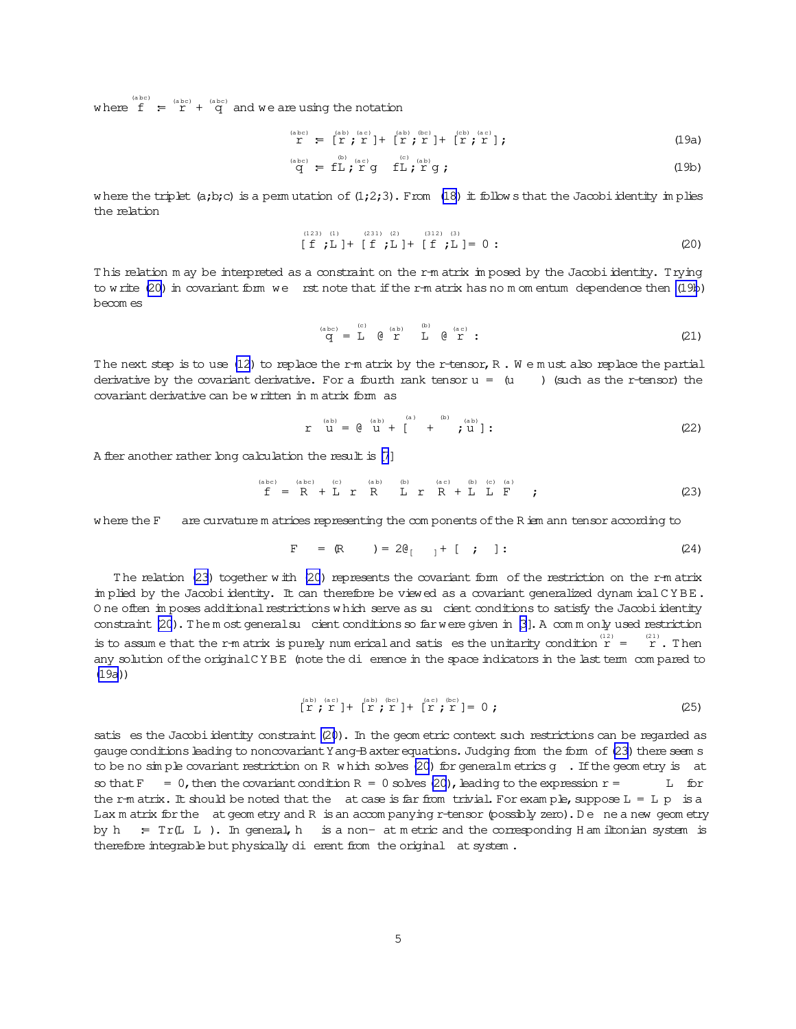where  $f = \int_{0}^{(abc)} f(x) dx$  and we are using the notation

$$
\mathbf{r}^{\text{(abc)}} = [\mathbf{r}; \mathbf{r}^{\text{(ab)}}] + [\mathbf{r}; \mathbf{r}^{\text{(bc)}}] + [\mathbf{r}; \mathbf{r}^{\text{(bc)}}], \tag{19a}
$$

$$
\overset{\text{(abc)}}{\mathbf{q}} = \mathbf{f} \mathbf{L} \overset{\text{(b)}}{\mathbf{r}} \overset{\text{(ac)}}{\mathbf{r}} \mathbf{g} \quad \mathbf{f} \mathbf{L} \overset{\text{(c)}}{\mathbf{r}} \overset{\text{(ab)}}{\mathbf{r}} \mathbf{g} \tag{19b}
$$

w here the triplet  $(a,b;c)$  is a perm utation of  $(1;2;3)$ . From  $(18)$  it follow s that the Jacobi identity im plies the relation

$$
\begin{array}{lll}\n(123) & (1) & (231) & (2) & (312) & (3) \\
\text{[ f } , \text{L } ] + [ f , \text{L } ] + [ f , \text{L } ] = 0 : \n\end{array} \tag{20}
$$

This relation m ay be interpreted as a constraint on the r-m atrix imposed by the Jacobi identity. Trying to w rite  $(20)$  in covariant form we rst note that if the r-m atrix has no m om entum dependence then  $(19b)$ becom es

$$
\overset{\scriptscriptstyle{\rm (abc)}}{\mathrm{q}}\,=\,\overset{\scriptscriptstyle{\rm (c)}}{\mathrm{L}}\, \quad \overset{\scriptscriptstyle{\rm (ab)}}{\mathrm{e}}\, \overset{\scriptscriptstyle{\rm (ab)}}{\mathrm{r}}\, \quad \overset{\scriptscriptstyle{\rm (b)}}{\mathrm{L}}\, \quad \overset{\scriptscriptstyle{\rm (ac)}}{\mathrm{e}}\, \overset{\scriptscriptstyle{\rm (ac)}}{\mathrm{r}}\,:\qquad \qquad (21)
$$

The next step is to use [\(12](#page-2-0)) to replace the r-m atrix by the r-tensor, R. W e m ust also replace the partial derivative by the covariant derivative. For a fourth rank tensor  $u = (u$  (such as the r-tensor) the covariant derivative can be w ritten in m atrix form as

$$
\mathbf{r} \quad \mathbf{u} = \mathbf{e} \quad \mathbf{u} + \mathbf{v} \quad \mathbf{u} = \mathbf{u} \quad \mathbf{u} + \mathbf{v} \quad \mathbf{u} \quad \mathbf{u} \quad \mathbf{u} \quad \mathbf{u} \quad \mathbf{u} \quad \mathbf{u} \quad \mathbf{u} \quad \mathbf{u} \quad \mathbf{u} \quad \mathbf{u} \quad \mathbf{u} \quad \mathbf{u} \quad \mathbf{u} \quad \mathbf{u} \quad \mathbf{u} \quad \mathbf{u} \quad \mathbf{u} \quad \mathbf{u} \quad \mathbf{u} \quad \mathbf{u} \quad \mathbf{u} \quad \mathbf{u} \quad \mathbf{u} \quad \mathbf{u} \quad \mathbf{u} \quad \mathbf{u} \quad \mathbf{u} \quad \mathbf{u} \quad \mathbf{u} \quad \mathbf{u} \quad \mathbf{u} \quad \mathbf{u} \quad \mathbf{u} \quad \mathbf{u} \quad \mathbf{u} \quad \mathbf{u} \quad \mathbf{u} \quad \mathbf{u} \quad \mathbf{u} \quad \mathbf{u} \quad \mathbf{u} \quad \mathbf{u} \quad \mathbf{u} \quad \mathbf{u} \quad \mathbf{u} \quad \mathbf{u} \quad \mathbf{u} \quad \mathbf{u} \quad \mathbf{u} \quad \mathbf{u} \quad \mathbf{u} \quad \mathbf{u} \quad \mathbf{u} \quad \mathbf{u} \quad \mathbf{u} \quad \mathbf{u} \quad \mathbf{u} \quad \mathbf{u} \quad \mathbf{u} \quad \mathbf{u} \quad \mathbf{u} \quad \mathbf{u} \quad \mathbf{u} \quad \mathbf{u} \quad \mathbf{u} \quad \mathbf{u} \quad \mathbf{u} \quad \mathbf{u} \quad \mathbf{u} \quad \mathbf{u} \quad \mathbf{u} \quad \mathbf{u} \quad \mathbf{u} \quad \mathbf{u} \quad \mathbf{u} \quad \mathbf{u} \quad \mathbf{u} \quad \mathbf{u} \quad \mathbf{u} \quad \mathbf{u} \quad \mathbf{u} \quad \mathbf{u} \quad \mathbf{u} \quad \mathbf{u} \quad \mathbf{u} \quad \mathbf{u} \quad \mathbf{
$$

A fter another rather long calculation the result is [\[7](#page-5-0)]

(a bc) (abc) (c) (ab) (b) (ac) (c) (a)   
\n
$$
f = R + L r R L r R L r R + L L F
$$
; (23)

w here the F are curvature m atrices representing the com ponents of the R iem ann tensor according to

$$
F = (R) = 2\theta_{[} + [ ; ]: \qquad (24)
$$

T he relation (23) together w ith (20) represents the covariant form of the restriction on the r-m atrix im plied by the Jacobiidentity. It can therefore be viewed as a covariant generalized dynam icalC Y BE. O ne often im poses additional restrictions w hich serve as su cient conditions to satisfy the Jacobi identity constraint  $(20)$ . The m ost generalsu cient conditions so far were given in  $[3]$ . A com m only used restriction is to assume that the r-m atrix is purely num erical and satis es the unitarity condition  $r = r$ . Then any solution of the original CYBE (note the di erence in the space indicators in the last term compared to (19a))

$$
\begin{array}{c}\n\text{ (ab)} \\
\left[\begin{array}{c}\n\text{ (ac)} \\
\Gamma \end{array}\right] + \left[\begin{array}{c}\n\text{ (ab)} \\
\Gamma \end{array}\right] + \left[\begin{array}{c}\n\text{ (ac)} \\
\Gamma \end{array}\right] + \left[\begin{array}{c}\n\text{ (ac)} \\
\Gamma \end{array}\right] = 0 \; ;\n\end{array} \tag{25}
$$

satis es the Jacobi identity constraint (20). In the geom etric context such restrictions can be regarded as gauge conditions leading to noncovariant Y ang-B axter equations. Judging from the form of (23) there seem s to be no  $\sin$  ple covariant restriction on R w hich solves (20) for generalm etrics g . If the geom etry is at so that  $F = 0$ , then the covariant condition  $R = 0$  solves (20), leading to the expression  $r =$  L for the r-m atrix. It should be noted that the at case is far from trivial. For example, suppose  $L = L p$  is a Lax m atrix for the at geom etry and R is an accompanying r-tensor (possibly zero). De ne a new geom etry by h = Tr(LL). In general, h is a non- at metric and the corresponding H am iltonian system is therefore integrable but physically di erent from the original at system.